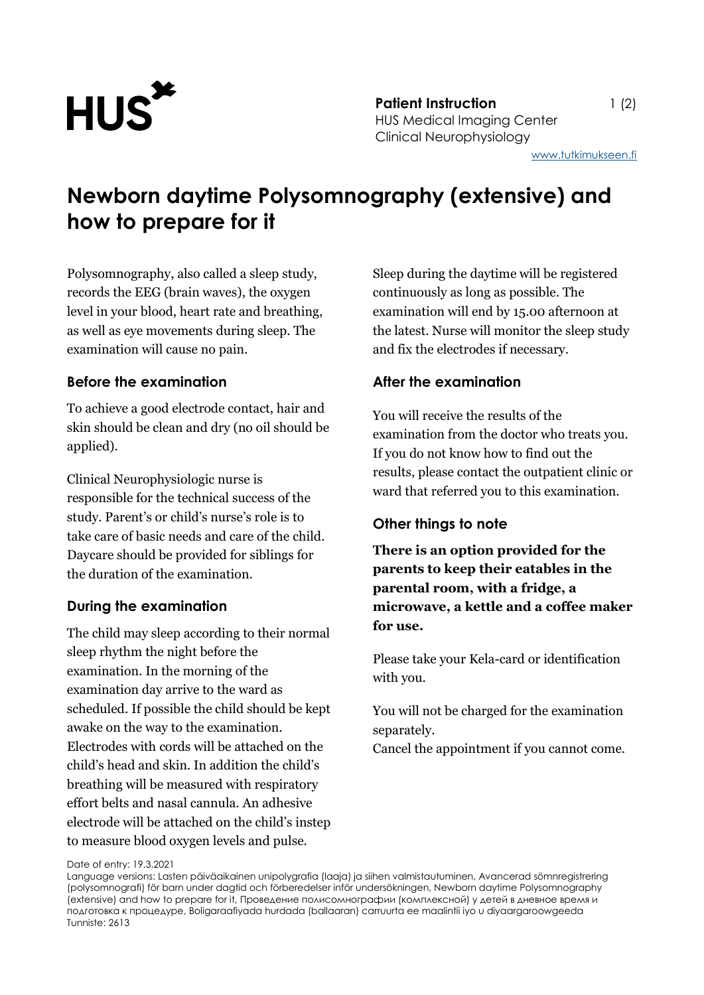

**Patient Instruction** 1 (2) HUS Medical Imaging Center Clinical Neurophysiology

# **Newborn daytime Polysomnography (extensive) and how to prepare for it**

Polysomnography, also called a sleep study, records the EEG (brain waves), the oxygen level in your blood, heart rate and breathing, as well as eye movements during sleep. The examination will cause no pain.

## **Before the examination**

To achieve a good electrode contact, hair and skin should be clean and dry (no oil should be applied).

Clinical Neurophysiologic nurse is responsible for the technical success of the study. Parent's or child's nurse's role is to take care of basic needs and care of the child. Daycare should be provided for siblings for the duration of the examination.

#### **During the examination**

The child may sleep according to their normal sleep rhythm the night before the examination. In the morning of the examination day arrive to the ward as scheduled. If possible the child should be kept awake on the way to the examination. Electrodes with cords will be attached on the child's head and skin. In addition the child's breathing will be measured with respiratory effort belts and nasal cannula. An adhesive electrode will be attached on the child's instep to measure blood oxygen levels and pulse.

Sleep during the daytime will be registered continuously as long as possible. The examination will end by 15.00 afternoon at the latest. Nurse will monitor the sleep study and fix the electrodes if necessary.

## **After the examination**

You will receive the results of the examination from the doctor who treats you. If you do not know how to find out the results, please contact the outpatient clinic or ward that referred you to this examination.

#### **Other things to note**

**There is an option provided for the parents to keep their eatables in the parental room, with a fridge, a microwave, a kettle and a coffee maker for use.**

Please take your Kela-card or identification with you.

You will not be charged for the examination separately.

Cancel the appointment if you cannot come.

Date of entry: 19.3.2021

Language versions: Lasten päiväaikainen unipolygrafia (laaja) ja siihen valmistautuminen, Avancerad sömnregistrering (polysomnografi) för barn under dagtid och förberedelser inför undersökningen, Newborn daytime Polysomnography (extensive) and how to prepare for it, Проведение полисомнографии (комплексной) у детей в дневное время и подготовка к процедуре, Boligaraafiyada hurdada (ballaaran) carruurta ee maalintii iyo u diyaargaroowgeeda Tunniste: 2613